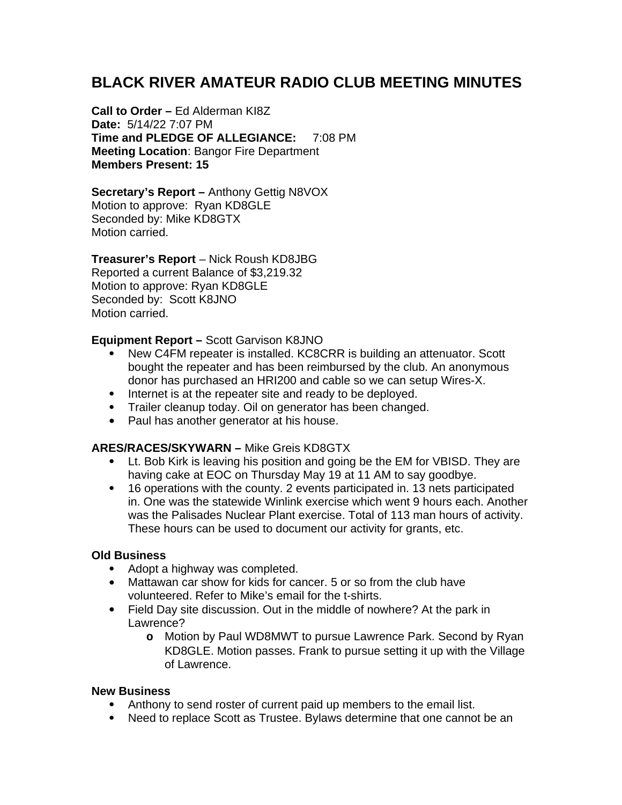# **BLACK RIVER AMATEUR RADIO CLUB MEETING MINUTES**

**Call to Order –** Ed Alderman KI8Z **Date:** 5/14/22 7:07 PM **Time and PLEDGE OF ALLEGIANCE:** 7:08 PM **Meeting Location**: Bangor Fire Department **Members Present: 15**

**Secretary's Report –** Anthony Gettig N8VOX Motion to approve: Ryan KD8GLE Seconded by: Mike KD8GTX Motion carried.

## **Treasurer's Report** – Nick Roush KD8JBG

Reported a current Balance of \$3,219.32 Motion to approve: Ryan KD8GLE Seconded by: Scott K8JNO Motion carried.

## **Equipment Report –** Scott Garvison K8JNO

- New C4FM repeater is installed. KC8CRR is building an attenuator. Scott bought the repeater and has been reimbursed by the club. An anonymous donor has purchased an HRI200 and cable so we can setup Wires-X.
- Internet is at the repeater site and ready to be deployed.
- Trailer cleanup today. Oil on generator has been changed.
- Paul has another generator at his house.

## **ARES/RACES/SKYWARN –** Mike Greis KD8GTX

- Lt. Bob Kirk is leaving his position and going be the EM for VBISD. They are having cake at EOC on Thursday May 19 at 11 AM to say goodbye.
- 16 operations with the county. 2 events participated in. 13 nets participated in. One was the statewide Winlink exercise which went 9 hours each. Another was the Palisades Nuclear Plant exercise. Total of 113 man hours of activity. These hours can be used to document our activity for grants, etc.

### **Old Business**

- Adopt a highway was completed.
- Mattawan car show for kids for cancer. 5 or so from the club have volunteered. Refer to Mike's email for the t-shirts.
- Field Day site discussion. Out in the middle of nowhere? At the park in Lawrence?
	- **o** Motion by Paul WD8MWT to pursue Lawrence Park. Second by Ryan KD8GLE. Motion passes. Frank to pursue setting it up with the Village of Lawrence.

### **New Business**

- Anthony to send roster of current paid up members to the email list.
- Need to replace Scott as Trustee. Bylaws determine that one cannot be an